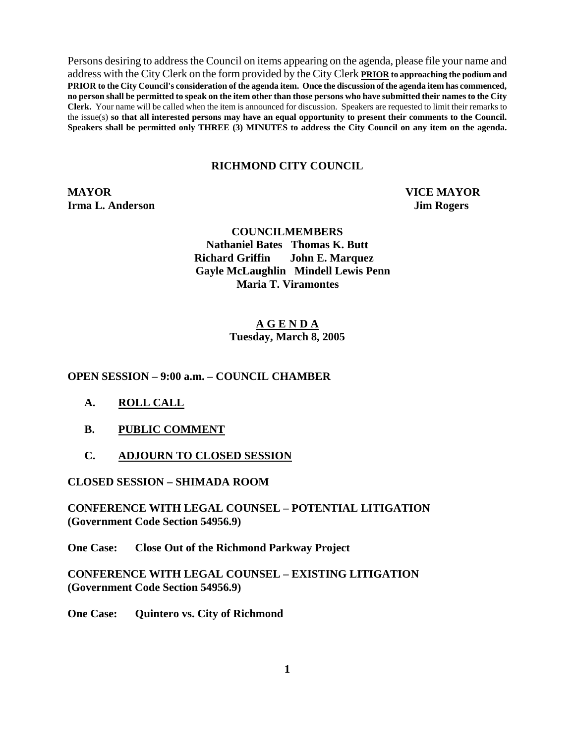Persons desiring to address the Council on items appearing on the agenda, please file your name and address with the City Clerk on the form provided by the City Clerk **PRIOR to approaching the podium and PRIOR to the City Council's consideration of the agenda item. Once the discussion of the agenda item has commenced, no person shall be permitted to speak on the item other than those persons who have submitted their names to the City Clerk.** Your name will be called when the item is announced for discussion. Speakers are requested to limit their remarks to the issue(s) **so that all interested persons may have an equal opportunity to present their comments to the Council. Speakers shall be permitted only THREE (3) MINUTES to address the City Council on any item on the agenda.**

### **RICHMOND CITY COUNCIL**

**MAYOR VICE MAYOR Irma L. Anderson** Jim Rogers

 **COUNCILMEMBERS Nathaniel Bates Thomas K. Butt Richard Griffin John E. Marquez Gayle McLaughlin Mindell Lewis Penn Maria T. Viramontes** 

#### **A G E N D A Tuesday, March 8, 2005**

#### **OPEN SESSION – 9:00 a.m. – COUNCIL CHAMBER**

- **A. ROLL CALL**
- **B. PUBLIC COMMENT**
- **C. ADJOURN TO CLOSED SESSION**

### **CLOSED SESSION – SHIMADA ROOM**

**CONFERENCE WITH LEGAL COUNSEL – POTENTIAL LITIGATION (Government Code Section 54956.9)** 

**One Case: Close Out of the Richmond Parkway Project** 

**CONFERENCE WITH LEGAL COUNSEL – EXISTING LITIGATION (Government Code Section 54956.9)** 

**One Case: Quintero vs. City of Richmond**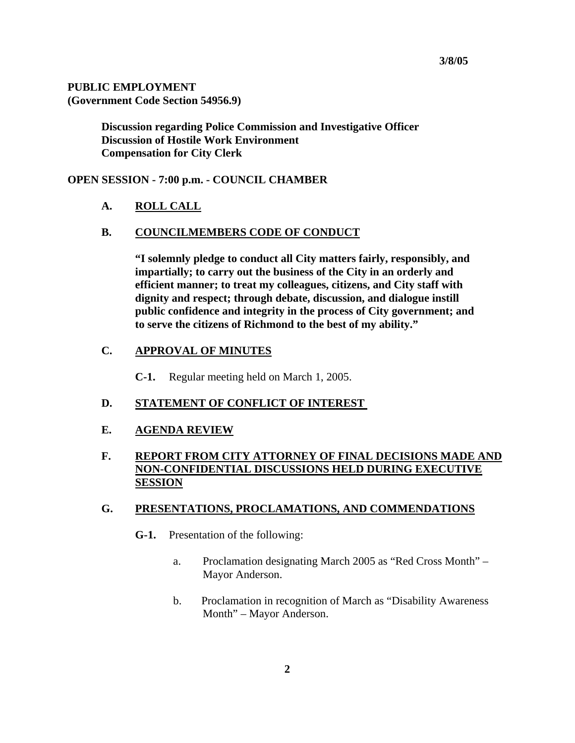#### **PUBLIC EMPLOYMENT (Government Code Section 54956.9)**

 **Discussion regarding Police Commission and Investigative Officer Discussion of Hostile Work Environment Compensation for City Clerk** 

### **OPEN SESSION - 7:00 p.m. - COUNCIL CHAMBER**

**A. ROLL CALL**

### **B. COUNCILMEMBERS CODE OF CONDUCT**

**"I solemnly pledge to conduct all City matters fairly, responsibly, and impartially; to carry out the business of the City in an orderly and efficient manner; to treat my colleagues, citizens, and City staff with dignity and respect; through debate, discussion, and dialogue instill public confidence and integrity in the process of City government; and to serve the citizens of Richmond to the best of my ability."** 

## **C. APPROVAL OF MINUTES**

**C-1.** Regular meeting held on March 1, 2005.

#### **D. STATEMENT OF CONFLICT OF INTEREST**

### **E. AGENDA REVIEW**

## **F. REPORT FROM CITY ATTORNEY OF FINAL DECISIONS MADE AND NON-CONFIDENTIAL DISCUSSIONS HELD DURING EXECUTIVE SESSION**

#### **G. PRESENTATIONS, PROCLAMATIONS, AND COMMENDATIONS**

- **G-1.** Presentation of the following:
	- a. Proclamation designating March 2005 as "Red Cross Month" Mayor Anderson.
	- b. Proclamation in recognition of March as "Disability Awareness Month" – Mayor Anderson.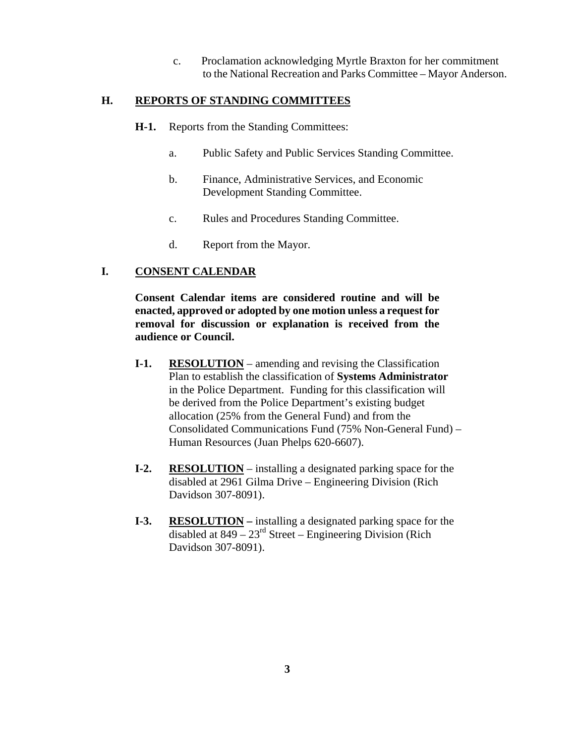c. Proclamation acknowledging Myrtle Braxton for her commitment to the National Recreation and Parks Committee – Mayor Anderson.

### **H. REPORTS OF STANDING COMMITTEES**

- **H-1.** Reports from the Standing Committees:
	- a. Public Safety and Public Services Standing Committee.
	- b. Finance, Administrative Services, and Economic Development Standing Committee.
	- c. Rules and Procedures Standing Committee.
	- d. Report from the Mayor.

## **I. CONSENT CALENDAR**

**Consent Calendar items are considered routine and will be enacted, approved or adopted by one motion unless a request for removal for discussion or explanation is received from the audience or Council.** 

- **I-1. RESOLUTION** amending and revising the Classification Plan to establish the classification of **Systems Administrator** in the Police Department. Funding for this classification will be derived from the Police Department's existing budget allocation (25% from the General Fund) and from the Consolidated Communications Fund (75% Non-General Fund) – Human Resources (Juan Phelps 620-6607).
- **I-2. RESOLUTION** installing a designated parking space for the disabled at 2961 Gilma Drive – Engineering Division (Rich Davidson 307-8091).
- **I-3.** RESOLUTION installing a designated parking space for the disabled at  $849 - 23<sup>rd</sup>$  Street – Engineering Division (Rich Davidson 307-8091).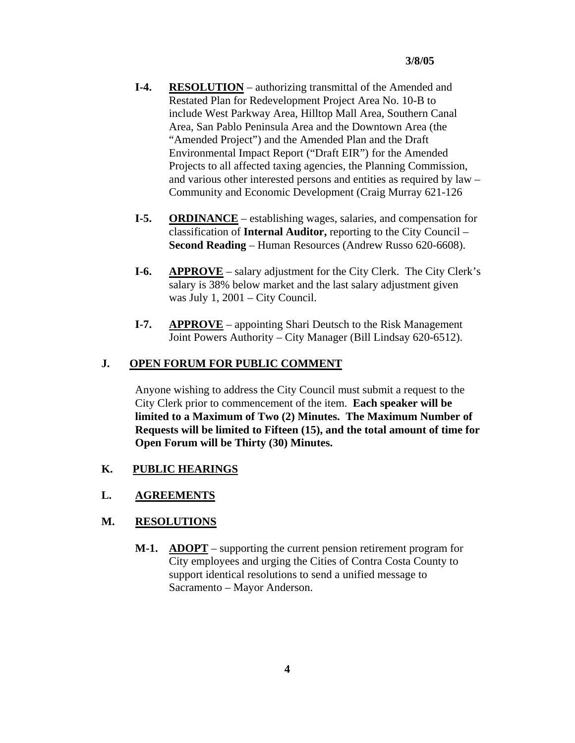- **I-4. RESOLUTION** authorizing transmittal of the Amended and Restated Plan for Redevelopment Project Area No. 10-B to include West Parkway Area, Hilltop Mall Area, Southern Canal Area, San Pablo Peninsula Area and the Downtown Area (the "Amended Project") and the Amended Plan and the Draft Environmental Impact Report ("Draft EIR") for the Amended Projects to all affected taxing agencies, the Planning Commission, and various other interested persons and entities as required by law – Community and Economic Development (Craig Murray 621-126
- **I-5. ORDINANCE** establishing wages, salaries, and compensation for classification of **Internal Auditor,** reporting to the City Council – **Second Reading** – Human Resources (Andrew Russo 620-6608).
- **I-6. APPROVE** salary adjustment for the City Clerk. The City Clerk's salary is 38% below market and the last salary adjustment given was July 1, 2001 – City Council.
- **I-7. APPROVE** appointing Shari Deutsch to the Risk Management Joint Powers Authority – City Manager (Bill Lindsay 620-6512).

## **J. OPEN FORUM FOR PUBLIC COMMENT**

Anyone wishing to address the City Council must submit a request to the City Clerk prior to commencement of the item. **Each speaker will be limited to a Maximum of Two (2) Minutes. The Maximum Number of Requests will be limited to Fifteen (15), and the total amount of time for Open Forum will be Thirty (30) Minutes.** 

## **K. PUBLIC HEARINGS**

## **L. AGREEMENTS**

## **M. RESOLUTIONS**

 **M-1. ADOPT** – supporting the current pension retirement program for City employees and urging the Cities of Contra Costa County to support identical resolutions to send a unified message to Sacramento – Mayor Anderson.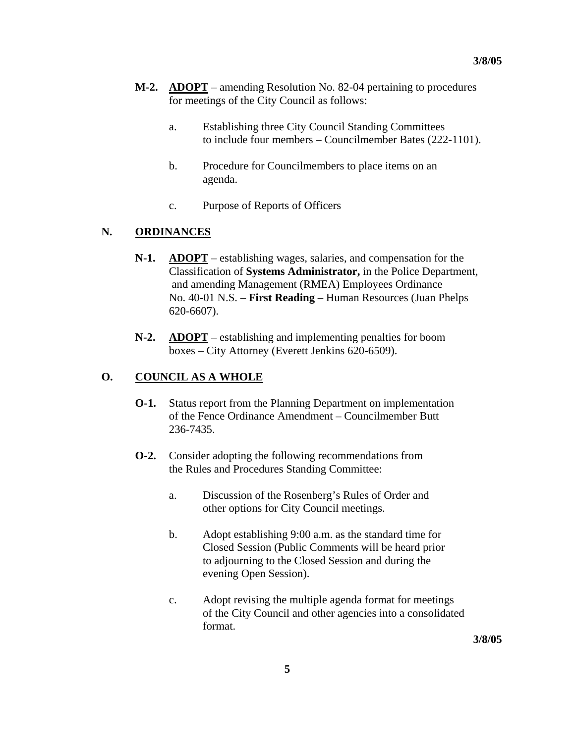- **M-2. ADOPT** amending Resolution No. 82-04 pertaining to procedures for meetings of the City Council as follows:
	- a. Establishing three City Council Standing Committees to include four members – Councilmember Bates (222-1101).
	- b. Procedure for Councilmembers to place items on an agenda.
	- c. Purpose of Reports of Officers

## **N. ORDINANCES**

- **N-1. ADOPT** establishing wages, salaries, and compensation for the Classification of **Systems Administrator,** in the Police Department, and amending Management (RMEA) Employees Ordinance No. 40-01 N.S. – **First Reading** – Human Resources (Juan Phelps 620-6607).
- **N-2. ADOPT** establishing and implementing penalties for boom boxes – City Attorney (Everett Jenkins 620-6509).

## **O. COUNCIL AS A WHOLE**

- **O-1.** Status report from the Planning Department on implementation of the Fence Ordinance Amendment – Councilmember Butt 236-7435.
- **O-2.** Consider adopting the following recommendations from the Rules and Procedures Standing Committee:
	- a. Discussion of the Rosenberg's Rules of Order and other options for City Council meetings.
	- b. Adopt establishing 9:00 a.m. as the standard time for Closed Session (Public Comments will be heard prior to adjourning to the Closed Session and during the evening Open Session).
	- c. Adopt revising the multiple agenda format for meetings of the City Council and other agencies into a consolidated format.

**3/8/05**